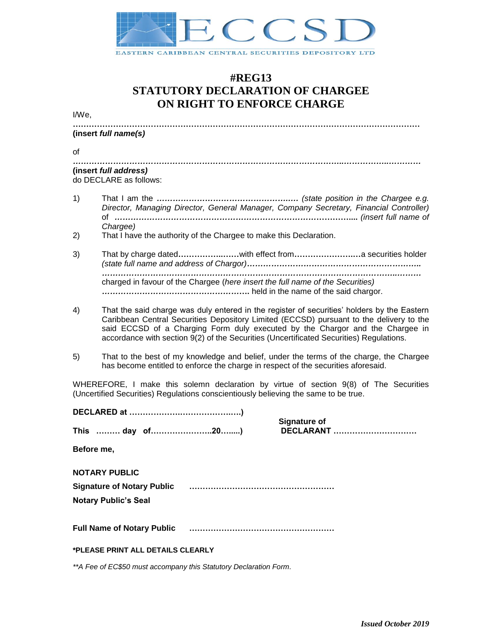

## **#REG13 STATUTORY DECLARATION OF CHARGEE ON RIGHT TO ENFORCE CHARGE**

I/We,

**…………………………………………………………………………………………………………………**

## **(insert** *full name(s)*

of

*………………………………………………………………………………………..……………..…………* **(insert** *full address)*  do DECLARE as follows:

- 1) That I am the *………………………………………….…. (state position in the Chargee e.g. Director, Managing Director, General Manager, Company Secretary, Financial Controller)* of *…………………………………………………………………***…………....** *(insert full name of Chargee)*
- 2) That I have the authority of the Chargee to make this Declaration.
- 3) That by charge dated**……………..……**with effect from**………………….…**a securities holder *(state full name and address of Chargor)……………………………………………………….. ………………………………………………………………………………………………..………*  charged in favour of the Chargee (*here insert the full name of the Securities) ……………………………………………***….** held in the name of the said chargor.
- 4) That the said charge was duly entered in the register of securities' holders by the Eastern Caribbean Central Securities Depository Limited (ECCSD) pursuant to the delivery to the said ECCSD of a Charging Form duly executed by the Chargor and the Chargee in accordance with section 9(2) of the Securities (Uncertificated Securities) Regulations.
- 5) That to the best of my knowledge and belief, under the terms of the charge, the Chargee has become entitled to enforce the charge in respect of the securities aforesaid.

WHEREFORE, I make this solemn declaration by virtue of section 9(8) of The Securities (Uncertified Securities) Regulations conscientiously believing the same to be true.

| <b>Signature of</b>                |                  |  |
|------------------------------------|------------------|--|
| This  day of20)                    | <b>DECLARANT</b> |  |
| Before me,                         |                  |  |
| <b>NOTARY PUBLIC</b>               |                  |  |
| <b>Signature of Notary Public</b>  |                  |  |
| <b>Notary Public's Seal</b>        |                  |  |
| <b>Full Name of Notary Public </b> |                  |  |
| *PLEASE PRINT ALL DETAILS CLEARLY  |                  |  |

*\*\*A Fee of EC\$50 must accompany this Statutory Declaration Form.*